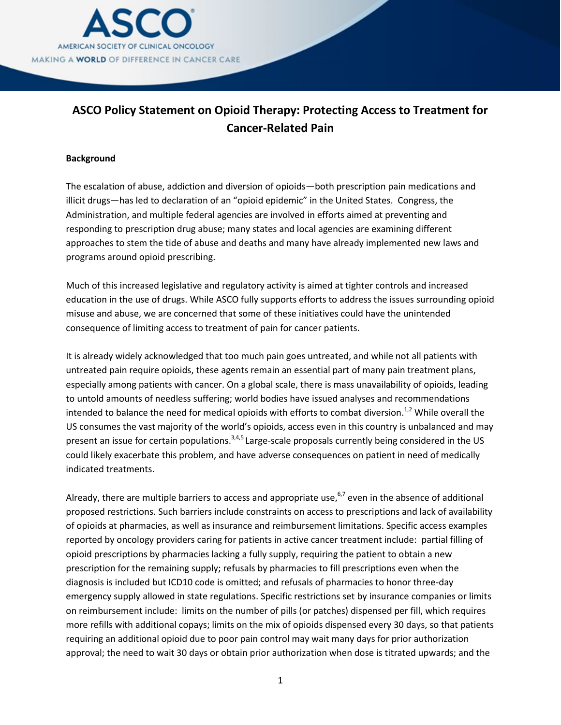

# **ASCO Policy Statement on Opioid Therapy: Protecting Access to Treatment for Cancer-Related Pain**

### **Background**

The escalation of abuse, addiction and diversion of opioids—both prescription pain medications and illicit drugs—has led to declaration of an "opioid epidemic" in the United States. Congress, the Administration, and multiple federal agencies are involved in efforts aimed at preventing and responding to prescription drug abuse; many states and local agencies are examining different approaches to stem the tide of abuse and deaths and many have already implemented new laws and programs around opioid prescribing.

Much of this increased legislative and regulatory activity is aimed at tighter controls and increased education in the use of drugs. While ASCO fully supports efforts to address the issues surrounding opioid misuse and abuse, we are concerned that some of these initiatives could have the unintended consequence of limiting access to treatment of pain for cancer patients.

It is already widely acknowledged that too much pain goes untreated, and while not all patients with untreated pain require opioids, these agents remain an essential part of many pain treatment plans, especially among patients with cancer. On a global scale, there is mass unavailability of opioids, leading to untold amounts of needless suffering; world bodies have issued analyses and recommendations intended to balance the need for medical opioids with efforts to combat diversion.<sup>1,2</sup> While overall the US consumes the vast majority of the world's opioids, access even in this country is unbalanced and may present an issue for certain populations.<sup>3,4,5</sup> Large-scale proposals currently being considered in the US could likely exacerbate this problem, and have adverse consequences on patient in need of medically indicated treatments.

Already, there are multiple barriers to access and appropriate use,<sup>6,7</sup> even in the absence of additional proposed restrictions. Such barriers include constraints on access to prescriptions and lack of availability of opioids at pharmacies, as well as insurance and reimbursement limitations. Specific access examples reported by oncology providers caring for patients in active cancer treatment include: partial filling of opioid prescriptions by pharmacies lacking a fully supply, requiring the patient to obtain a new prescription for the remaining supply; refusals by pharmacies to fill prescriptions even when the diagnosis is included but ICD10 code is omitted; and refusals of pharmacies to honor three-day emergency supply allowed in state regulations. Specific restrictions set by insurance companies or limits on reimbursement include: limits on the number of pills (or patches) dispensed per fill, which requires more refills with additional copays; limits on the mix of opioids dispensed every 30 days, so that patients requiring an additional opioid due to poor pain control may wait many days for prior authorization approval; the need to wait 30 days or obtain prior authorization when dose is titrated upwards; and the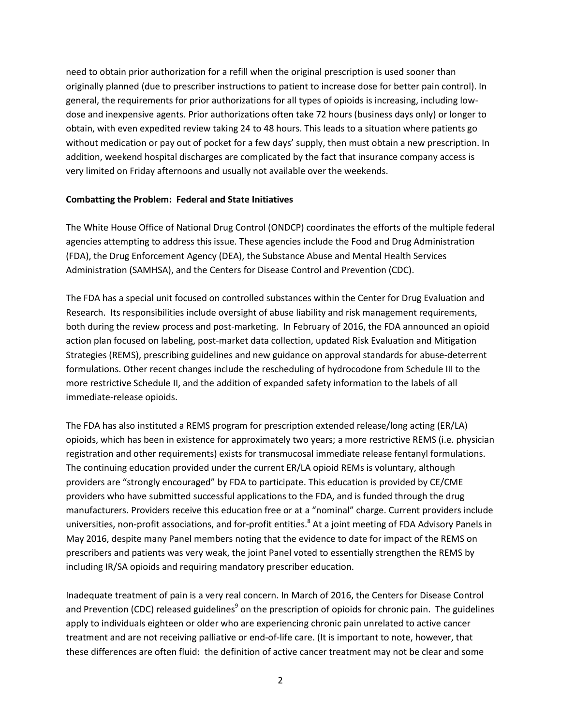need to obtain prior authorization for a refill when the original prescription is used sooner than originally planned (due to prescriber instructions to patient to increase dose for better pain control). In general, the requirements for prior authorizations for all types of opioids is increasing, including lowdose and inexpensive agents. Prior authorizations often take 72 hours (business days only) or longer to obtain, with even expedited review taking 24 to 48 hours. This leads to a situation where patients go without medication or pay out of pocket for a few days' supply, then must obtain a new prescription. In addition, weekend hospital discharges are complicated by the fact that insurance company access is very limited on Friday afternoons and usually not available over the weekends.

### **Combatting the Problem: Federal and State Initiatives**

The White House Office of National Drug Control (ONDCP) coordinates the efforts of the multiple federal agencies attempting to address this issue. These agencies include the Food and Drug Administration (FDA), the Drug Enforcement Agency (DEA), the Substance Abuse and Mental Health Services Administration (SAMHSA), and the Centers for Disease Control and Prevention (CDC).

The FDA has a special unit focused on controlled substances within the Center for Drug Evaluation and Research. Its responsibilities include oversight of abuse liability and risk management requirements, both during the review process and post-marketing. In February of 2016, the FDA announced an opioid action plan focused on labeling, post-market data collection, updated Risk Evaluation and Mitigation Strategies (REMS), prescribing guidelines and new guidance on approval standards for abuse-deterrent formulations. Other recent changes include the rescheduling of hydrocodone from Schedule III to the more restrictive Schedule II, and the addition of expanded safety information to the labels of all immediate-release opioids.

The FDA has also instituted a REMS program for prescription extended release/long acting (ER/LA) opioids, which has been in existence for approximately two years; a more restrictive REMS (i.e. physician registration and other requirements) exists for transmucosal immediate release fentanyl formulations. The continuing education provided under the current ER/LA opioid REMs is voluntary, although providers are "strongly encouraged" by FDA to participate. This education is provided by CE/CME providers who have submitted successful applications to the FDA, and is funded through the drug manufacturers. Providers receive this education free or at a "nominal" charge. Current providers include universities, non-profit associations, and for-profit entities.<sup>8</sup> At a joint meeting of FDA Advisory Panels in May 2016, despite many Panel members noting that the evidence to date for impact of the REMS on prescribers and patients was very weak, the joint Panel voted to essentially strengthen the REMS by including IR/SA opioids and requiring mandatory prescriber education.

Inadequate treatment of pain is a very real concern. In March of 2016, the Centers for Disease Control and Prevention (CDC) released guidelines<sup>9</sup> on the prescription of opioids for chronic pain. The guidelines apply to individuals eighteen or older who are experiencing chronic pain unrelated to active cancer treatment and are not receiving palliative or end-of-life care. (It is important to note, however, that these differences are often fluid: the definition of active cancer treatment may not be clear and some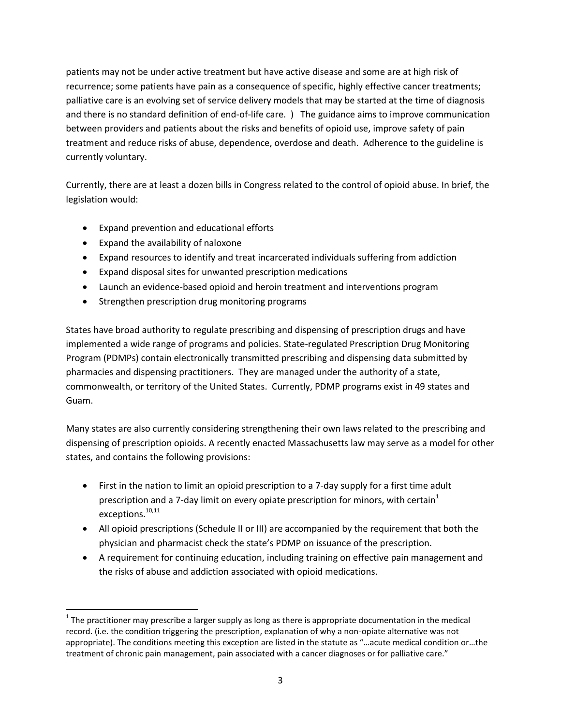patients may not be under active treatment but have active disease and some are at high risk of recurrence; some patients have pain as a consequence of specific, highly effective cancer treatments; palliative care is an evolving set of service delivery models that may be started at the time of diagnosis and there is no standard definition of end-of-life care. ) The guidance aims to improve communication between providers and patients about the risks and benefits of opioid use, improve safety of pain treatment and reduce risks of abuse, dependence, overdose and death. Adherence to the guideline is currently voluntary.

Currently, there are at least a dozen bills in Congress related to the control of opioid abuse. In brief, the legislation would:

- Expand prevention and educational efforts
- Expand the availability of naloxone
- Expand resources to identify and treat incarcerated individuals suffering from addiction
- Expand disposal sites for unwanted prescription medications
- Launch an evidence-based opioid and heroin treatment and interventions program
- Strengthen prescription drug monitoring programs

States have broad authority to regulate prescribing and dispensing of prescription drugs and have implemented a wide range of programs and policies. State-regulated Prescription Drug Monitoring Program (PDMPs) contain electronically transmitted prescribing and dispensing data submitted by pharmacies and dispensing practitioners. They are managed under the authority of a state, commonwealth, or territory of the United States. Currently, PDMP programs exist in 49 states and Guam.

Many states are also currently considering strengthening their own laws related to the prescribing and dispensing of prescription opioids. A recently enacted Massachusetts law may serve as a model for other states, and contains the following provisions:

- First in the nation to limit an opioid prescription to a 7-day supply for a first time adult prescription and a 7-day limit on every opiate prescription for minors, with certain<sup>1</sup> exceptions.<sup>10,11</sup>
- All opioid prescriptions (Schedule II or III) are accompanied by the requirement that both the physician and pharmacist check the state's PDMP on issuance of the prescription.
- A requirement for continuing education, including training on effective pain management and the risks of abuse and addiction associated with opioid medications.

 $1$  The practitioner may prescribe a larger supply as long as there is appropriate documentation in the medical record. (i.e. the condition triggering the prescription, explanation of why a non-opiate alternative was not appropriate). The conditions meeting this exception are listed in the statute as "…acute medical condition or…the treatment of chronic pain management, pain associated with a cancer diagnoses or for palliative care."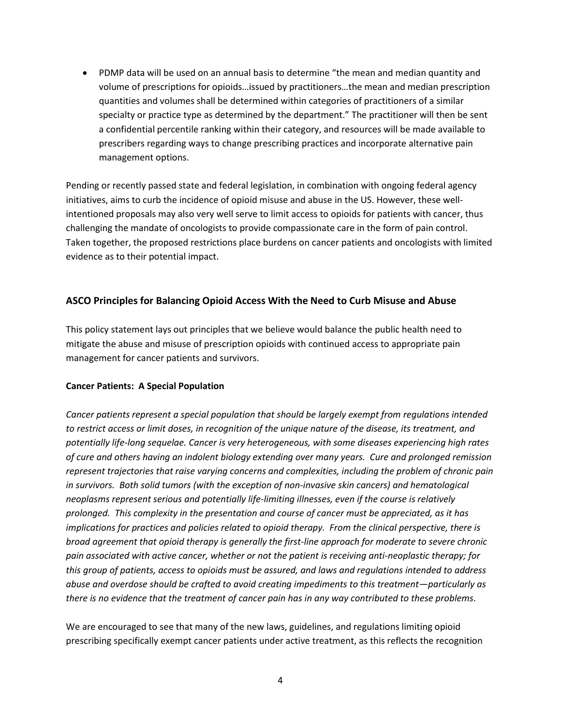PDMP data will be used on an annual basis to determine "the mean and median quantity and volume of prescriptions for opioids…issued by practitioners…the mean and median prescription quantities and volumes shall be determined within categories of practitioners of a similar specialty or practice type as determined by the department." The practitioner will then be sent a confidential percentile ranking within their category, and resources will be made available to prescribers regarding ways to change prescribing practices and incorporate alternative pain management options.

Pending or recently passed state and federal legislation, in combination with ongoing federal agency initiatives, aims to curb the incidence of opioid misuse and abuse in the US. However, these wellintentioned proposals may also very well serve to limit access to opioids for patients with cancer, thus challenging the mandate of oncologists to provide compassionate care in the form of pain control. Taken together, the proposed restrictions place burdens on cancer patients and oncologists with limited evidence as to their potential impact.

### **ASCO Principles for Balancing Opioid Access With the Need to Curb Misuse and Abuse**

This policy statement lays out principles that we believe would balance the public health need to mitigate the abuse and misuse of prescription opioids with continued access to appropriate pain management for cancer patients and survivors.

### **Cancer Patients: A Special Population**

*Cancer patients represent a special population that should be largely exempt from regulations intended to restrict access or limit doses, in recognition of the unique nature of the disease, its treatment, and potentially life-long sequelae. Cancer is very heterogeneous, with some diseases experiencing high rates of cure and others having an indolent biology extending over many years. Cure and prolonged remission represent trajectories that raise varying concerns and complexities, including the problem of chronic pain in survivors. Both solid tumors (with the exception of non-invasive skin cancers) and hematological neoplasms represent serious and potentially life-limiting illnesses, even if the course is relatively prolonged. This complexity in the presentation and course of cancer must be appreciated, as it has implications for practices and policies related to opioid therapy. From the clinical perspective, there is broad agreement that opioid therapy is generally the first-line approach for moderate to severe chronic pain associated with active cancer, whether or not the patient is receiving anti-neoplastic therapy; for this group of patients, access to opioids must be assured, and laws and regulations intended to address abuse and overdose should be crafted to avoid creating impediments to this treatment—particularly as there is no evidence that the treatment of cancer pain has in any way contributed to these problems.* 

We are encouraged to see that many of the new laws, guidelines, and regulations limiting opioid prescribing specifically exempt cancer patients under active treatment, as this reflects the recognition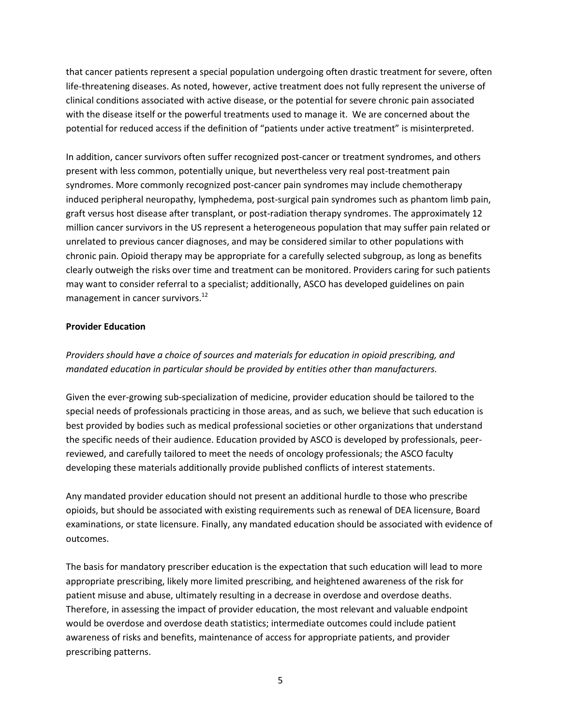that cancer patients represent a special population undergoing often drastic treatment for severe, often life-threatening diseases. As noted, however, active treatment does not fully represent the universe of clinical conditions associated with active disease, or the potential for severe chronic pain associated with the disease itself or the powerful treatments used to manage it. We are concerned about the potential for reduced access if the definition of "patients under active treatment" is misinterpreted.

In addition, cancer survivors often suffer recognized post-cancer or treatment syndromes, and others present with less common, potentially unique, but nevertheless very real post-treatment pain syndromes. More commonly recognized post-cancer pain syndromes may include chemotherapy induced peripheral neuropathy, lymphedema, post-surgical pain syndromes such as phantom limb pain, graft versus host disease after transplant, or post-radiation therapy syndromes. The approximately 12 million cancer survivors in the US represent a heterogeneous population that may suffer pain related or unrelated to previous cancer diagnoses, and may be considered similar to other populations with chronic pain. Opioid therapy may be appropriate for a carefully selected subgroup, as long as benefits clearly outweigh the risks over time and treatment can be monitored. Providers caring for such patients may want to consider referral to a specialist; additionally, ASCO has developed guidelines on pain management in cancer survivors.<sup>12</sup>

### **Provider Education**

*Providers should have a choice of sources and materials for education in opioid prescribing, and mandated education in particular should be provided by entities other than manufacturers.* 

Given the ever-growing sub-specialization of medicine, provider education should be tailored to the special needs of professionals practicing in those areas, and as such, we believe that such education is best provided by bodies such as medical professional societies or other organizations that understand the specific needs of their audience. Education provided by ASCO is developed by professionals, peerreviewed, and carefully tailored to meet the needs of oncology professionals; the ASCO faculty developing these materials additionally provide published conflicts of interest statements.

Any mandated provider education should not present an additional hurdle to those who prescribe opioids, but should be associated with existing requirements such as renewal of DEA licensure, Board examinations, or state licensure. Finally, any mandated education should be associated with evidence of outcomes.

The basis for mandatory prescriber education is the expectation that such education will lead to more appropriate prescribing, likely more limited prescribing, and heightened awareness of the risk for patient misuse and abuse, ultimately resulting in a decrease in overdose and overdose deaths. Therefore, in assessing the impact of provider education, the most relevant and valuable endpoint would be overdose and overdose death statistics; intermediate outcomes could include patient awareness of risks and benefits, maintenance of access for appropriate patients, and provider prescribing patterns.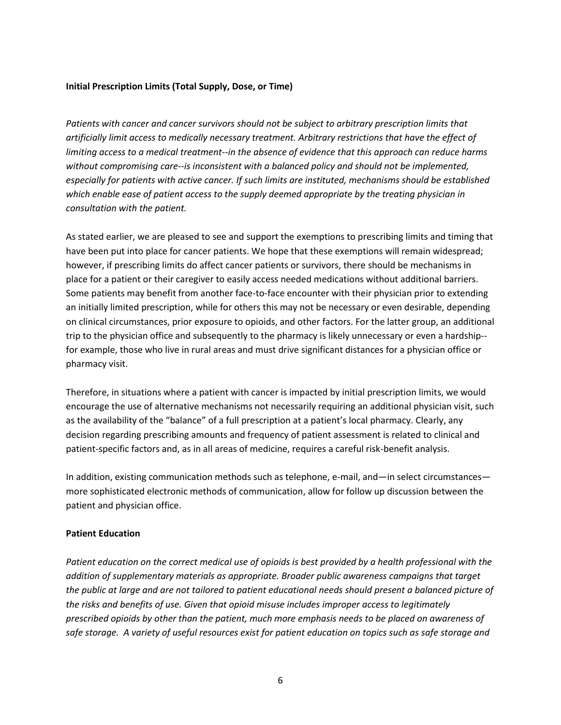### **Initial Prescription Limits (Total Supply, Dose, or Time)**

*Patients with cancer and cancer survivors should not be subject to arbitrary prescription limits that artificially limit access to medically necessary treatment. Arbitrary restrictions that have the effect of limiting access to a medical treatment--in the absence of evidence that this approach can reduce harms without compromising care--is inconsistent with a balanced policy and should not be implemented, especially for patients with active cancer. If such limits are instituted, mechanisms should be established which enable ease of patient access to the supply deemed appropriate by the treating physician in consultation with the patient.*

As stated earlier, we are pleased to see and support the exemptions to prescribing limits and timing that have been put into place for cancer patients. We hope that these exemptions will remain widespread; however, if prescribing limits do affect cancer patients or survivors, there should be mechanisms in place for a patient or their caregiver to easily access needed medications without additional barriers. Some patients may benefit from another face-to-face encounter with their physician prior to extending an initially limited prescription, while for others this may not be necessary or even desirable, depending on clinical circumstances, prior exposure to opioids, and other factors. For the latter group, an additional trip to the physician office and subsequently to the pharmacy is likely unnecessary or even a hardship- for example, those who live in rural areas and must drive significant distances for a physician office or pharmacy visit.

Therefore, in situations where a patient with cancer is impacted by initial prescription limits, we would encourage the use of alternative mechanisms not necessarily requiring an additional physician visit, such as the availability of the "balance" of a full prescription at a patient's local pharmacy. Clearly, any decision regarding prescribing amounts and frequency of patient assessment is related to clinical and patient-specific factors and, as in all areas of medicine, requires a careful risk-benefit analysis.

In addition, existing communication methods such as telephone, e-mail, and—in select circumstances more sophisticated electronic methods of communication, allow for follow up discussion between the patient and physician office.

### **Patient Education**

*Patient education on the correct medical use of opioids is best provided by a health professional with the addition of supplementary materials as appropriate. Broader public awareness campaigns that target the public at large and are not tailored to patient educational needs should present a balanced picture of the risks and benefits of use. Given that opioid misuse includes improper access to legitimately prescribed opioids by other than the patient, much more emphasis needs to be placed on awareness of safe storage. A variety of useful resources exist for patient education on topics such as safe storage and*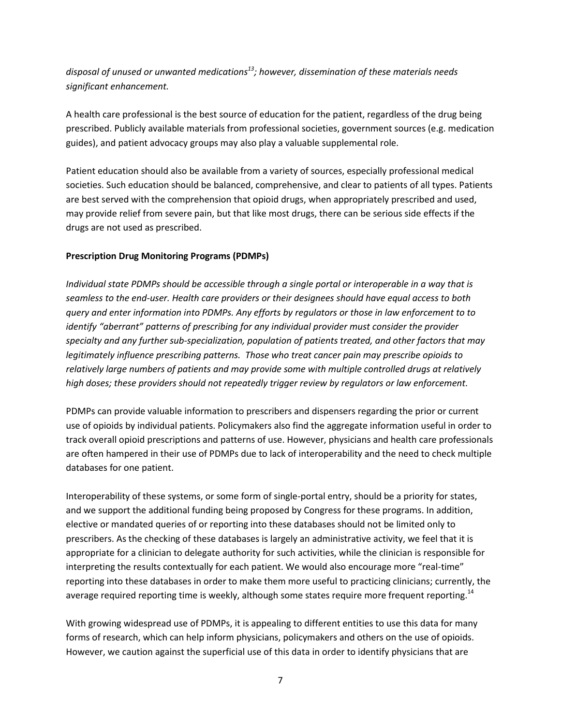*disposal of unused or unwanted medications<sup>13</sup>; however, dissemination of these materials needs significant enhancement.* 

A health care professional is the best source of education for the patient, regardless of the drug being prescribed. Publicly available materials from professional societies, government sources (e.g. medication guides), and patient advocacy groups may also play a valuable supplemental role.

Patient education should also be available from a variety of sources, especially professional medical societies. Such education should be balanced, comprehensive, and clear to patients of all types. Patients are best served with the comprehension that opioid drugs, when appropriately prescribed and used, may provide relief from severe pain, but that like most drugs, there can be serious side effects if the drugs are not used as prescribed.

### **Prescription Drug Monitoring Programs (PDMPs)**

*Individual state PDMPs should be accessible through a single portal or interoperable in a way that is seamless to the end-user. Health care providers or their designees should have equal access to both query and enter information into PDMPs. Any efforts by regulators or those in law enforcement to to identify "aberrant" patterns of prescribing for any individual provider must consider the provider specialty and any further sub-specialization, population of patients treated, and other factors that may legitimately influence prescribing patterns. Those who treat cancer pain may prescribe opioids to relatively large numbers of patients and may provide some with multiple controlled drugs at relatively high doses; these providers should not repeatedly trigger review by regulators or law enforcement.* 

PDMPs can provide valuable information to prescribers and dispensers regarding the prior or current use of opioids by individual patients. Policymakers also find the aggregate information useful in order to track overall opioid prescriptions and patterns of use. However, physicians and health care professionals are often hampered in their use of PDMPs due to lack of interoperability and the need to check multiple databases for one patient.

Interoperability of these systems, or some form of single-portal entry, should be a priority for states, and we support the additional funding being proposed by Congress for these programs. In addition, elective or mandated queries of or reporting into these databases should not be limited only to prescribers. As the checking of these databases is largely an administrative activity, we feel that it is appropriate for a clinician to delegate authority for such activities, while the clinician is responsible for interpreting the results contextually for each patient. We would also encourage more "real-time" reporting into these databases in order to make them more useful to practicing clinicians; currently, the average required reporting time is weekly, although some states require more frequent reporting.<sup>14</sup>

With growing widespread use of PDMPs, it is appealing to different entities to use this data for many forms of research, which can help inform physicians, policymakers and others on the use of opioids. However, we caution against the superficial use of this data in order to identify physicians that are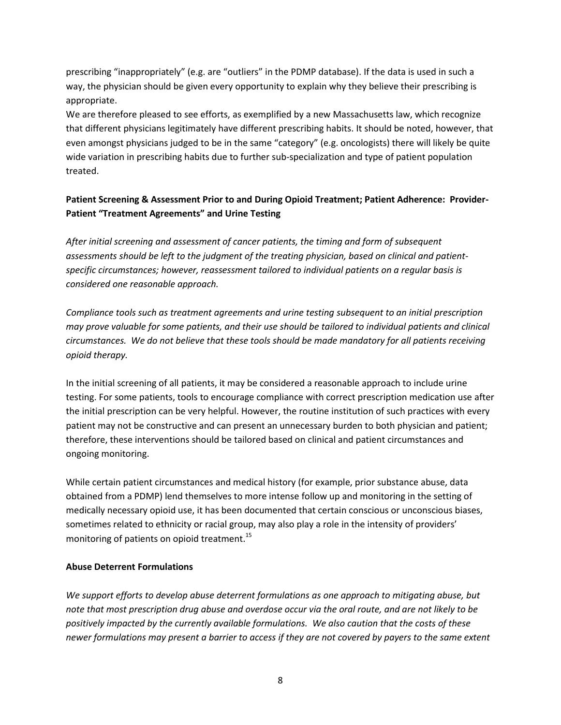prescribing "inappropriately" (e.g. are "outliers" in the PDMP database). If the data is used in such a way, the physician should be given every opportunity to explain why they believe their prescribing is appropriate.

We are therefore pleased to see efforts, as exemplified by a new Massachusetts law, which recognize that different physicians legitimately have different prescribing habits. It should be noted, however, that even amongst physicians judged to be in the same "category" (e.g. oncologists) there will likely be quite wide variation in prescribing habits due to further sub-specialization and type of patient population treated.

# **Patient Screening & Assessment Prior to and During Opioid Treatment; Patient Adherence: Provider-Patient "Treatment Agreements" and Urine Testing**

*After initial screening and assessment of cancer patients, the timing and form of subsequent assessments should be left to the judgment of the treating physician, based on clinical and patientspecific circumstances; however, reassessment tailored to individual patients on a regular basis is considered one reasonable approach.* 

*Compliance tools such as treatment agreements and urine testing subsequent to an initial prescription may prove valuable for some patients, and their use should be tailored to individual patients and clinical circumstances. We do not believe that these tools should be made mandatory for all patients receiving opioid therapy.* 

In the initial screening of all patients, it may be considered a reasonable approach to include urine testing. For some patients, tools to encourage compliance with correct prescription medication use after the initial prescription can be very helpful. However, the routine institution of such practices with every patient may not be constructive and can present an unnecessary burden to both physician and patient; therefore, these interventions should be tailored based on clinical and patient circumstances and ongoing monitoring.

While certain patient circumstances and medical history (for example, prior substance abuse, data obtained from a PDMP) lend themselves to more intense follow up and monitoring in the setting of medically necessary opioid use, it has been documented that certain conscious or unconscious biases, sometimes related to ethnicity or racial group, may also play a role in the intensity of providers' monitoring of patients on opioid treatment.<sup>15</sup>

### **Abuse Deterrent Formulations**

*We support efforts to develop abuse deterrent formulations as one approach to mitigating abuse, but note that most prescription drug abuse and overdose occur via the oral route, and are not likely to be positively impacted by the currently available formulations. We also caution that the costs of these newer formulations may present a barrier to access if they are not covered by payers to the same extent*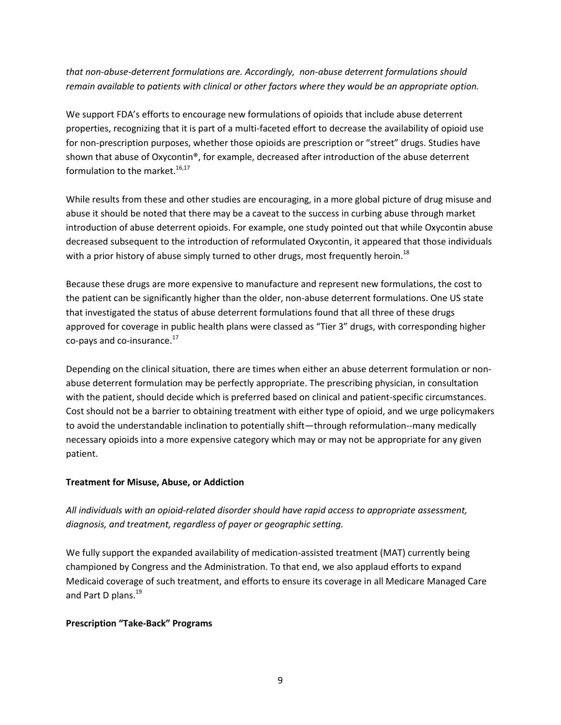*that non-abuse-deterrent formulations are. Accordingly, non-abuse deterrent formulations should remain available to patients with clinical or other factors where they would be an appropriate option.* 

We support FDA's efforts to encourage new formulations of opioids that include abuse deterrent properties, recognizing that it is part of a multi-faceted effort to decrease the availability of opioid use for non-prescription purposes, whether those opioids are prescription or "street" drugs. Studies have shown that abuse of Oxycontin®, for example, decreased after introduction of the abuse deterrent formulation to the market.<sup>16,17</sup>

While results from these and other studies are encouraging, in a more global picture of drug misuse and abuse it should be noted that there may be a caveat to the success in curbing abuse through market introduction of abuse deterrent opioids. For example, one study pointed out that while Oxycontin abuse decreased subsequent to the introduction of reformulated Oxycontin, it appeared that those individuals with a prior history of abuse simply turned to other drugs, most frequently heroin.<sup>18</sup>

Because these drugs are more expensive to manufacture and represent new formulations, the cost to the patient can be significantly higher than the older, non-abuse deterrent formulations. One US state that investigated the status of abuse deterrent formulations found that all three of these drugs approved for coverage in public health plans were classed as "Tier 3" drugs, with corresponding higher co-pays and co-insurance. $^{17}$ 

Depending on the clinical situation, there are times when either an abuse deterrent formulation or nonabuse deterrent formulation may be perfectly appropriate. The prescribing physician, in consultation with the patient, should decide which is preferred based on clinical and patient-specific circumstances. Cost should not be a barrier to obtaining treatment with either type of opioid, and we urge policymakers to avoid the understandable inclination to potentially shift—through reformulation--many medically necessary opioids into a more expensive category which may or may not be appropriate for any given patient.

# **Treatment for Misuse, Abuse, or Addiction**

*All individuals with an opioid-related disorder should have rapid access to appropriate assessment, diagnosis, and treatment, regardless of payer or geographic setting.* 

We fully support the expanded availability of medication-assisted treatment (MAT) currently being championed by Congress and the Administration. To that end, we also applaud efforts to expand Medicaid coverage of such treatment, and efforts to ensure its coverage in all Medicare Managed Care and Part D plans.<sup>19</sup>

### **Prescription "Take-Back" Programs**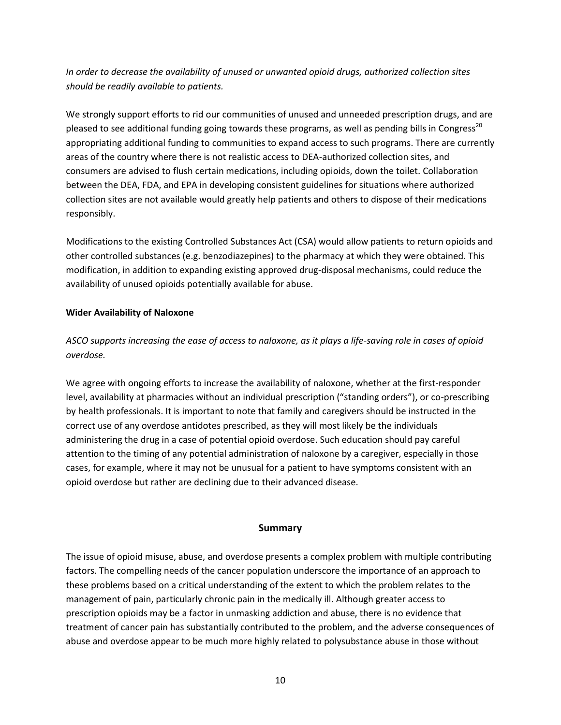*In order to decrease the availability of unused or unwanted opioid drugs, authorized collection sites should be readily available to patients.* 

We strongly support efforts to rid our communities of unused and unneeded prescription drugs, and are pleased to see additional funding going towards these programs, as well as pending bills in Congress<sup>20</sup> appropriating additional funding to communities to expand access to such programs. There are currently areas of the country where there is not realistic access to DEA-authorized collection sites, and consumers are advised to flush certain medications, including opioids, down the toilet. Collaboration between the DEA, FDA, and EPA in developing consistent guidelines for situations where authorized collection sites are not available would greatly help patients and others to dispose of their medications responsibly.

Modifications to the existing Controlled Substances Act (CSA) would allow patients to return opioids and other controlled substances (e.g. benzodiazepines) to the pharmacy at which they were obtained. This modification, in addition to expanding existing approved drug-disposal mechanisms, could reduce the availability of unused opioids potentially available for abuse.

### **Wider Availability of Naloxone**

*ASCO supports increasing the ease of access to naloxone, as it plays a life-saving role in cases of opioid overdose.* 

We agree with ongoing efforts to increase the availability of naloxone, whether at the first-responder level, availability at pharmacies without an individual prescription ("standing orders"), or co-prescribing by health professionals. It is important to note that family and caregivers should be instructed in the correct use of any overdose antidotes prescribed, as they will most likely be the individuals administering the drug in a case of potential opioid overdose. Such education should pay careful attention to the timing of any potential administration of naloxone by a caregiver, especially in those cases, for example, where it may not be unusual for a patient to have symptoms consistent with an opioid overdose but rather are declining due to their advanced disease.

# **Summary**

The issue of opioid misuse, abuse, and overdose presents a complex problem with multiple contributing factors. The compelling needs of the cancer population underscore the importance of an approach to these problems based on a critical understanding of the extent to which the problem relates to the management of pain, particularly chronic pain in the medically ill. Although greater access to prescription opioids may be a factor in unmasking addiction and abuse, there is no evidence that treatment of cancer pain has substantially contributed to the problem, and the adverse consequences of abuse and overdose appear to be much more highly related to polysubstance abuse in those without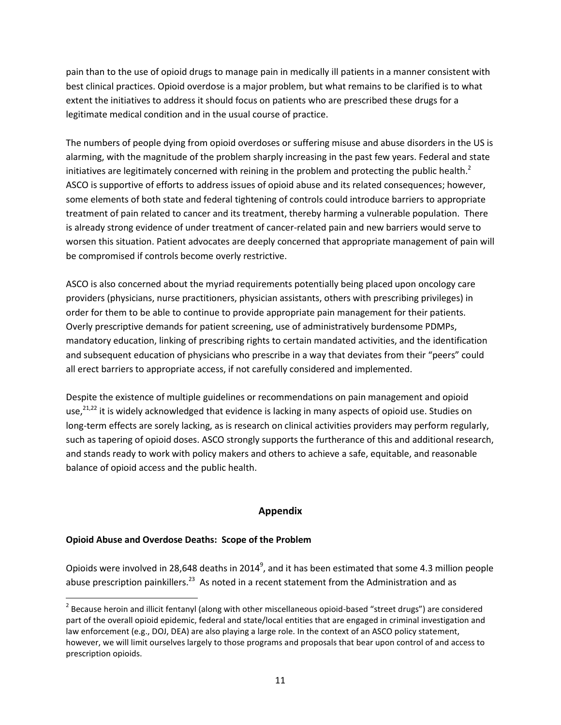pain than to the use of opioid drugs to manage pain in medically ill patients in a manner consistent with best clinical practices. Opioid overdose is a major problem, but what remains to be clarified is to what extent the initiatives to address it should focus on patients who are prescribed these drugs for a legitimate medical condition and in the usual course of practice.

The numbers of people dying from opioid overdoses or suffering misuse and abuse disorders in the US is alarming, with the magnitude of the problem sharply increasing in the past few years. Federal and state initiatives are legitimately concerned with reining in the problem and protecting the public health.<sup>2</sup> ASCO is supportive of efforts to address issues of opioid abuse and its related consequences; however, some elements of both state and federal tightening of controls could introduce barriers to appropriate treatment of pain related to cancer and its treatment, thereby harming a vulnerable population. There is already strong evidence of under treatment of cancer-related pain and new barriers would serve to worsen this situation. Patient advocates are deeply concerned that appropriate management of pain will be compromised if controls become overly restrictive.

ASCO is also concerned about the myriad requirements potentially being placed upon oncology care providers (physicians, nurse practitioners, physician assistants, others with prescribing privileges) in order for them to be able to continue to provide appropriate pain management for their patients. Overly prescriptive demands for patient screening, use of administratively burdensome PDMPs, mandatory education, linking of prescribing rights to certain mandated activities, and the identification and subsequent education of physicians who prescribe in a way that deviates from their "peers" could all erect barriers to appropriate access, if not carefully considered and implemented.

Despite the existence of multiple guidelines or recommendations on pain management and opioid use.<sup>21,22</sup> it is widely acknowledged that evidence is lacking in many aspects of opioid use. Studies on long-term effects are sorely lacking, as is research on clinical activities providers may perform regularly, such as tapering of opioid doses. ASCO strongly supports the furtherance of this and additional research, and stands ready to work with policy makers and others to achieve a safe, equitable, and reasonable balance of opioid access and the public health.

# **Appendix**

# **Opioid Abuse and Overdose Deaths: Scope of the Problem**

Opioids were involved in 28,648 deaths in 2014<sup>9</sup>, and it has been estimated that some 4.3 million people abuse prescription painkillers.<sup>23</sup> As noted in a recent statement from the Administration and as

 $^2$  Because heroin and illicit fentanyl (along with other miscellaneous opioid-based "street drugs") are considered part of the overall opioid epidemic, federal and state/local entities that are engaged in criminal investigation and law enforcement (e.g., DOJ, DEA) are also playing a large role. In the context of an ASCO policy statement, however, we will limit ourselves largely to those programs and proposals that bear upon control of and access to prescription opioids.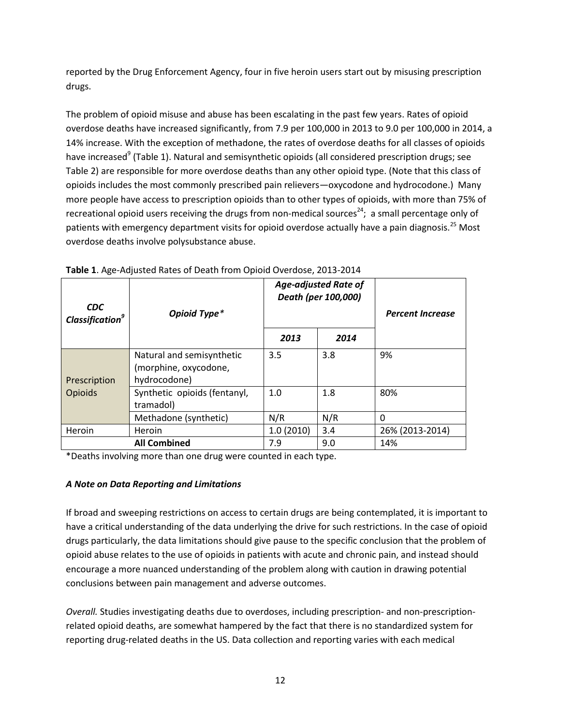reported by the Drug Enforcement Agency, four in five heroin users start out by misusing prescription drugs.

The problem of opioid misuse and abuse has been escalating in the past few years. Rates of opioid overdose deaths have increased significantly, from 7.9 per 100,000 in 2013 to 9.0 per 100,000 in 2014, a 14% increase. With the exception of methadone, the rates of overdose deaths for all classes of opioids have increased<sup>9</sup> (Table 1). Natural and semisynthetic opioids (all considered prescription drugs; see Table 2) are responsible for more overdose deaths than any other opioid type. (Note that this class of opioids includes the most commonly prescribed pain relievers—oxycodone and hydrocodone.) Many more people have access to prescription opioids than to other types of opioids, with more than 75% of recreational opioid users receiving the drugs from non-medical sources<sup>24</sup>; a small percentage only of patients with emergency department visits for opioid overdose actually have a pain diagnosis.<sup>25</sup> Most overdose deaths involve polysubstance abuse.

| <b>CDC</b><br><b>Classification<sup>9</sup></b> | Opioid Type*                                                       | <b>Age-adjusted Rate of</b><br>Death (per 100,000) |      | <b>Percent Increase</b> |
|-------------------------------------------------|--------------------------------------------------------------------|----------------------------------------------------|------|-------------------------|
|                                                 |                                                                    | 2013                                               | 2014 |                         |
| Prescription<br><b>Opioids</b>                  | Natural and semisynthetic<br>(morphine, oxycodone,<br>hydrocodone) | 3.5                                                | 3.8  | 9%                      |
|                                                 | Synthetic opioids (fentanyl,<br>tramadol)                          | 1.0                                                | 1.8  | 80%                     |
|                                                 | Methadone (synthetic)                                              | N/R                                                | N/R  | 0                       |
| Heroin                                          | Heroin                                                             | 1.0(2010)                                          | 3.4  | 26% (2013-2014)         |
| <b>All Combined</b>                             |                                                                    | 7.9                                                | 9.0  | 14%                     |

**Table 1**. Age-Adjusted Rates of Death from Opioid Overdose, 2013-2014

\*Deaths involving more than one drug were counted in each type.

# *A Note on Data Reporting and Limitations*

If broad and sweeping restrictions on access to certain drugs are being contemplated, it is important to have a critical understanding of the data underlying the drive for such restrictions. In the case of opioid drugs particularly, the data limitations should give pause to the specific conclusion that the problem of opioid abuse relates to the use of opioids in patients with acute and chronic pain, and instead should encourage a more nuanced understanding of the problem along with caution in drawing potential conclusions between pain management and adverse outcomes.

*Overall.* Studies investigating deaths due to overdoses, including prescription- and non-prescriptionrelated opioid deaths, are somewhat hampered by the fact that there is no standardized system for reporting drug-related deaths in the US. Data collection and reporting varies with each medical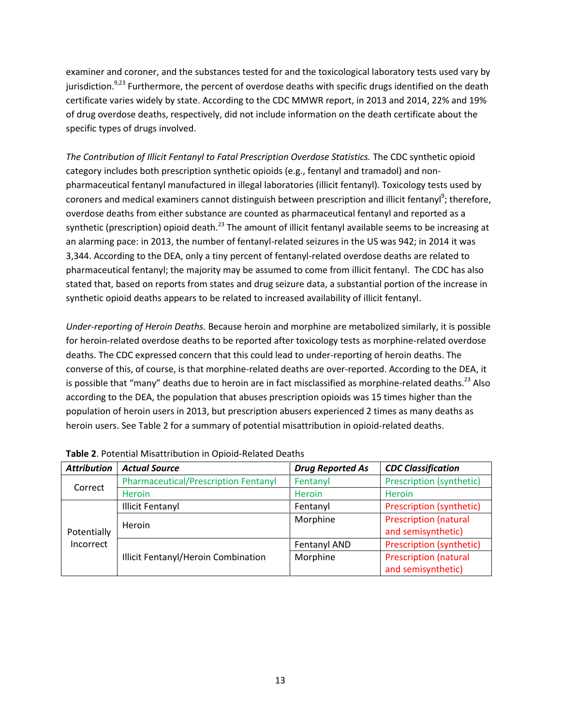examiner and coroner, and the substances tested for and the toxicological laboratory tests used vary by jurisdiction.<sup>9,23</sup> Furthermore, the percent of overdose deaths with specific drugs identified on the death certificate varies widely by state. According to the CDC MMWR report, in 2013 and 2014, 22% and 19% of drug overdose deaths, respectively, did not include information on the death certificate about the specific types of drugs involved.

*The Contribution of Illicit Fentanyl to Fatal Prescription Overdose Statistics.* The CDC synthetic opioid category includes both prescription synthetic opioids (e.g., fentanyl and tramadol) and nonpharmaceutical fentanyl manufactured in illegal laboratories (illicit fentanyl). Toxicology tests used by coroners and medical examiners cannot distinguish between prescription and illicit fentanyl<sup>9</sup>; therefore, overdose deaths from either substance are counted as pharmaceutical fentanyl and reported as a synthetic (prescription) opioid death.<sup>23</sup> The amount of illicit fentanyl available seems to be increasing at an alarming pace: in 2013, the number of fentanyl-related seizures in the US was 942; in 2014 it was 3,344. According to the DEA, only a tiny percent of fentanyl-related overdose deaths are related to pharmaceutical fentanyl; the majority may be assumed to come from illicit fentanyl. The CDC has also stated that, based on reports from states and drug seizure data, a substantial portion of the increase in synthetic opioid deaths appears to be related to increased availability of illicit fentanyl.

*Under-reporting of Heroin Deaths.* Because heroin and morphine are metabolized similarly, it is possible for heroin-related overdose deaths to be reported after toxicology tests as morphine-related overdose deaths. The CDC expressed concern that this could lead to under-reporting of heroin deaths. The converse of this, of course, is that morphine-related deaths are over-reported. According to the DEA, it is possible that "many" deaths due to heroin are in fact misclassified as morphine-related deaths.<sup>23</sup> Also according to the DEA, the population that abuses prescription opioids was 15 times higher than the population of heroin users in 2013, but prescription abusers experienced 2 times as many deaths as heroin users. See Table 2 for a summary of potential misattribution in opioid-related deaths.

| <b>Attribution</b>       | <b>Actual Source</b>                        | <b>Drug Reported As</b> | <b>CDC Classification</b>                          |
|--------------------------|---------------------------------------------|-------------------------|----------------------------------------------------|
| Correct                  | <b>Pharmaceutical/Prescription Fentanyl</b> | Fentanyl                | Prescription (synthetic)                           |
|                          | Heroin                                      | Heroin                  | <b>Heroin</b>                                      |
| Potentially<br>Incorrect | <b>Illicit Fentanyl</b>                     | Fentanyl                | Prescription (synthetic)                           |
|                          | Heroin                                      | Morphine                | <b>Prescription (natural</b><br>and semisynthetic) |
|                          | Illicit Fentanyl/Heroin Combination         | Fentanyl AND            | Prescription (synthetic)                           |
|                          |                                             | Morphine                | <b>Prescription (natural</b><br>and semisynthetic) |

| Table 2. Potential Misattribution in Opioid-Related Deaths |  |
|------------------------------------------------------------|--|
|------------------------------------------------------------|--|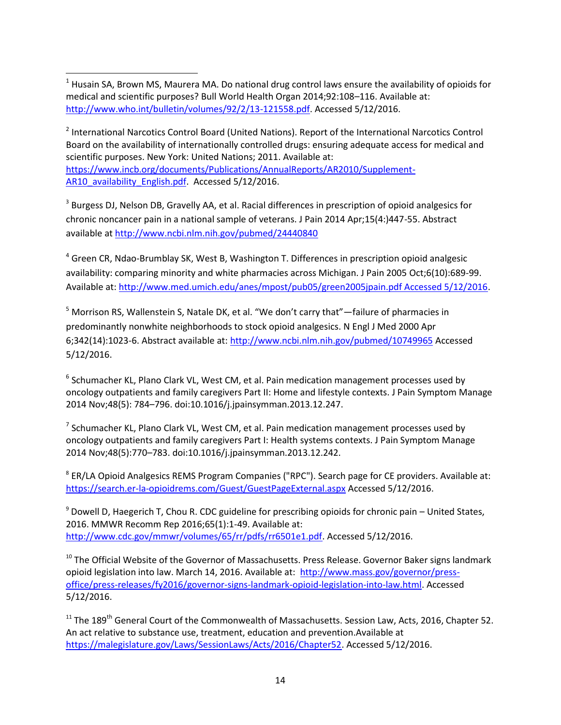<sup>2</sup> International Narcotics Control Board (United Nations). Report of the International Narcotics Control Board on the availability of internationally controlled drugs: ensuring adequate access for medical and scientific purposes. New York: United Nations; 2011. Available at: [https://www.incb.org/documents/Publications/AnnualReports/AR2010/Supplement-](https://www.incb.org/documents/Publications/AnnualReports/AR2010/Supplement-AR10_availability_English.pdf)[AR10\\_availability\\_English.pdf.](https://www.incb.org/documents/Publications/AnnualReports/AR2010/Supplement-AR10_availability_English.pdf) Accessed 5/12/2016.

<sup>3</sup> Burgess DJ, Nelson DB, Gravelly AA, et al. Racial differences in prescription of opioid analgesics for chronic noncancer pain in a national sample of veterans. J Pain 2014 Apr;15(4:)447-55. Abstract available a[t http://www.ncbi.nlm.nih.gov/pubmed/24440840](http://www.ncbi.nlm.nih.gov/pubmed/24440840)

<sup>4</sup> Green CR, Ndao-Brumblay SK, West B, Washington T. Differences in prescription opioid analgesic availability: comparing minority and white pharmacies across Michigan. J Pain 2005 Oct;6(10):689-99. Available at[: http://www.med.umich.edu/anes/mpost/pub05/green2005jpain.pdf Accessed 5/12/2016.](http://www.med.umich.edu/anes/mpost/pub05/green2005jpain.pdf%20Accessed%205/12/2016)

<sup>5</sup> Morrison RS, Wallenstein S, Natale DK, et al. "We don't carry that"—failure of pharmacies in predominantly nonwhite neighborhoods to stock opioid analgesics. N Engl J Med 2000 Apr 6;342(14):1023-6. Abstract available at:<http://www.ncbi.nlm.nih.gov/pubmed/10749965>Accessed 5/12/2016.

<sup>6</sup> Schumacher KL, Plano Clark VL, West CM, et al. Pain medication management processes used by oncology outpatients and family caregivers Part II: Home and lifestyle contexts. J Pain Symptom Manage 2014 Nov;48(5): 784–796. doi:10.1016/j.jpainsymman.2013.12.247.

 $^7$  Schumacher KL, Plano Clark VL, West CM, et al. Pain medication management processes used by oncology outpatients and family caregivers Part I: Health systems contexts. J Pain Symptom Manage 2014 Nov;48(5):770–783. doi:10.1016/j.jpainsymman.2013.12.242.

<sup>8</sup> ER/LA Opioid Analgesics REMS Program Companies ("RPC"). Search page for CE providers. Available at: [https://search.er-la-opioidrems.com/Guest/GuestPageExternal.aspx A](https://search.er-la-opioidrems.com/Guest/GuestPageExternal.aspx)ccessed 5/12/2016.

 $9$  Dowell D, Haegerich T, Chou R. CDC guideline for prescribing opioids for chronic pain – United States, 2016. MMWR Recomm Rep 2016;65(1):1-49. Available at: [http://www.cdc.gov/mmwr/volumes/65/rr/pdfs/rr6501e1.pdf.](http://www.cdc.gov/mmwr/volumes/65/rr/pdfs/rr6501e1.pdf) Accessed 5/12/2016.

 $10$  The Official Website of the Governor of Massachusetts. Press Release. Governor Baker signs landmark opioid legislation into law. March 14, 2016. Available at: [http://www.mass.gov/governor/press](http://www.mass.gov/governor/press-office/press-releases/fy2016/governor-signs-landmark-opioid-legislation-into-law.html)[office/press-releases/fy2016/governor-signs-landmark-opioid-legislation-into-law.html.](http://www.mass.gov/governor/press-office/press-releases/fy2016/governor-signs-landmark-opioid-legislation-into-law.html) Accessed 5/12/2016.

 $11$  The 189<sup>th</sup> General Court of the Commonwealth of Massachusetts. Session Law, Acts, 2016, Chapter 52. An act relative to substance use, treatment, education and prevention.Available at [https://malegislature.gov/Laws/SessionLaws/Acts/2016/Chapter52.](https://malegislature.gov/Laws/SessionLaws/Acts/2016/Chapter52) Accessed 5/12/2016.

 $<sup>1</sup>$  Husain SA, Brown MS, Maurera MA. Do national drug control laws ensure the availability of opioids for</sup> medical and scientific purposes? Bull World Health Organ 2014;92:108–116. Available at: [http://www.who.int/bulletin/volumes/92/2/13-121558.pdf.](http://www.who.int/bulletin/volumes/92/2/13-121558.pdf) Accessed 5/12/2016.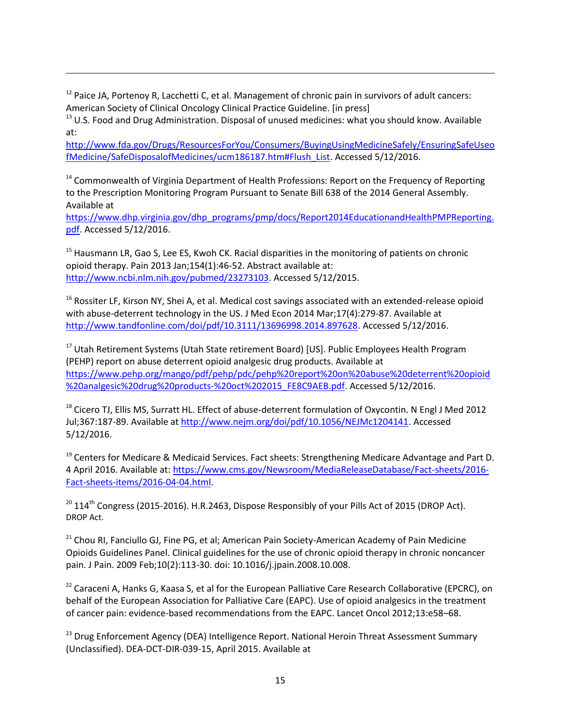$12$  Paice JA, Portenoy R, Lacchetti C, et al. Management of chronic pain in survivors of adult cancers: American Society of Clinical Oncology Clinical Practice Guideline. [in press]

 $13$  U.S. Food and Drug Administration. Disposal of unused medicines: what you should know. Available at:

[http://www.fda.gov/Drugs/ResourcesForYou/Consumers/BuyingUsingMedicineSafely/EnsuringSafeUseo](http://www.fda.gov/Drugs/ResourcesForYou/Consumers/BuyingUsingMedicineSafely/EnsuringSafeUseofMedicine/SafeDisposalofMedicines/ucm186187.htm#Flush_List) [fMedicine/SafeDisposalofMedicines/ucm186187.htm#Flush\\_List.](http://www.fda.gov/Drugs/ResourcesForYou/Consumers/BuyingUsingMedicineSafely/EnsuringSafeUseofMedicine/SafeDisposalofMedicines/ucm186187.htm#Flush_List) Accessed 5/12/2016.

<sup>14</sup> Commonwealth of Virginia Department of Health Professions: Report on the Frequency of Reporting to the Prescription Monitoring Program Pursuant to Senate Bill 638 of the 2014 General Assembly. Available at

[https://www.dhp.virginia.gov/dhp\\_programs/pmp/docs/Report2014EducationandHealthPMPReporting.](https://www.dhp.virginia.gov/dhp_programs/pmp/docs/Report2014EducationandHealthPMPReporting.pdf) [pdf.](https://www.dhp.virginia.gov/dhp_programs/pmp/docs/Report2014EducationandHealthPMPReporting.pdf) Accessed 5/12/2016.

<sup>15</sup> Hausmann LR, Gao S, Lee ES, Kwoh CK. Racial disparities in the monitoring of patients on chronic opioid therapy. Pain 2013 Jan;154(1):46-52. Abstract available at: [http://www.ncbi.nlm.nih.gov/pubmed/23273103.](http://www.ncbi.nlm.nih.gov/pubmed/23273103) Accessed 5/12/2015.

<sup>16</sup> Rossiter LF, Kirson NY, Shei A, et al. Medical cost savings associated with an extended-release opioid with abuse-deterrent technology in the US. J Med Econ 2014 Mar;17(4):279-87. Available at [http://www.tandfonline.com/doi/pdf/10.3111/13696998.2014.897628.](http://www.tandfonline.com/doi/pdf/10.3111/13696998.2014.897628) Accessed 5/12/2016.

<sup>17</sup> Utah Retirement Systems (Utah State retirement Board) [US]. Public Employees Health Program (PEHP) report on abuse deterrent opioid analgesic drug products. Available at [https://www.pehp.org/mango/pdf/pehp/pdc/pehp%20report%20on%20abuse%20deterrent%20opioid](https://www.pehp.org/mango/pdf/pehp/pdc/pehp%20report%20on%20abuse%20deterrent%20opioid%20analgesic%20drug%20products-%20oct%202015_FE8C9AEB.pdf) [%20analgesic%20drug%20products-%20oct%202015\\_FE8C9AEB.pdf.](https://www.pehp.org/mango/pdf/pehp/pdc/pehp%20report%20on%20abuse%20deterrent%20opioid%20analgesic%20drug%20products-%20oct%202015_FE8C9AEB.pdf) Accessed 5/12/2016.

<sup>18</sup> Cicero TJ, Ellis MS, Surratt HL. Effect of abuse-deterrent formulation of Oxycontin. N Engl J Med 2012 Jul;367:187-89. Available a[t http://www.nejm.org/doi/pdf/10.1056/NEJMc1204141.](http://www.nejm.org/doi/pdf/10.1056/NEJMc1204141) Accessed 5/12/2016.

 $19$  Centers for Medicare & Medicaid Services. Fact sheets: Strengthening Medicare Advantage and Part D. 4 April 2016. Available at[: https://www.cms.gov/Newsroom/MediaReleaseDatabase/Fact-sheets/2016-](https://www.cms.gov/Newsroom/MediaReleaseDatabase/Fact-sheets/2016-Fact-sheets-items/2016-04-04.html) [Fact-sheets-items/2016-04-04.html.](https://www.cms.gov/Newsroom/MediaReleaseDatabase/Fact-sheets/2016-Fact-sheets-items/2016-04-04.html)

 $^{20}$  114<sup>th</sup> Congress (2015-2016). H.R.2463, Dispose Responsibly of your Pills Act of 2015 (DROP Act). DROP Act.

<sup>21</sup> Chou RI, Fanciullo GJ, Fine PG, et al; American Pain Society-American Academy of Pain Medicine Opioids Guidelines Panel. Clinical guidelines for the use of chronic opioid therapy in chronic noncancer pain. J Pain. 2009 Feb;10(2):113-30. doi: 10.1016/j.jpain.2008.10.008.

<sup>22</sup> Caraceni A, Hanks G, Kaasa S, et al for the European Palliative Care Research Collaborative (EPCRC), on behalf of the European Association for Palliative Care (EAPC). Use of opioid analgesics in the treatment of cancer pain: evidence-based recommendations from the EAPC. Lancet Oncol 2012;13:e58–68.

<sup>23</sup> Drug Enforcement Agency (DEA) Intelligence Report. National Heroin Threat Assessment Summary (Unclassified). DEA-DCT-DIR-039-15, April 2015. Available at